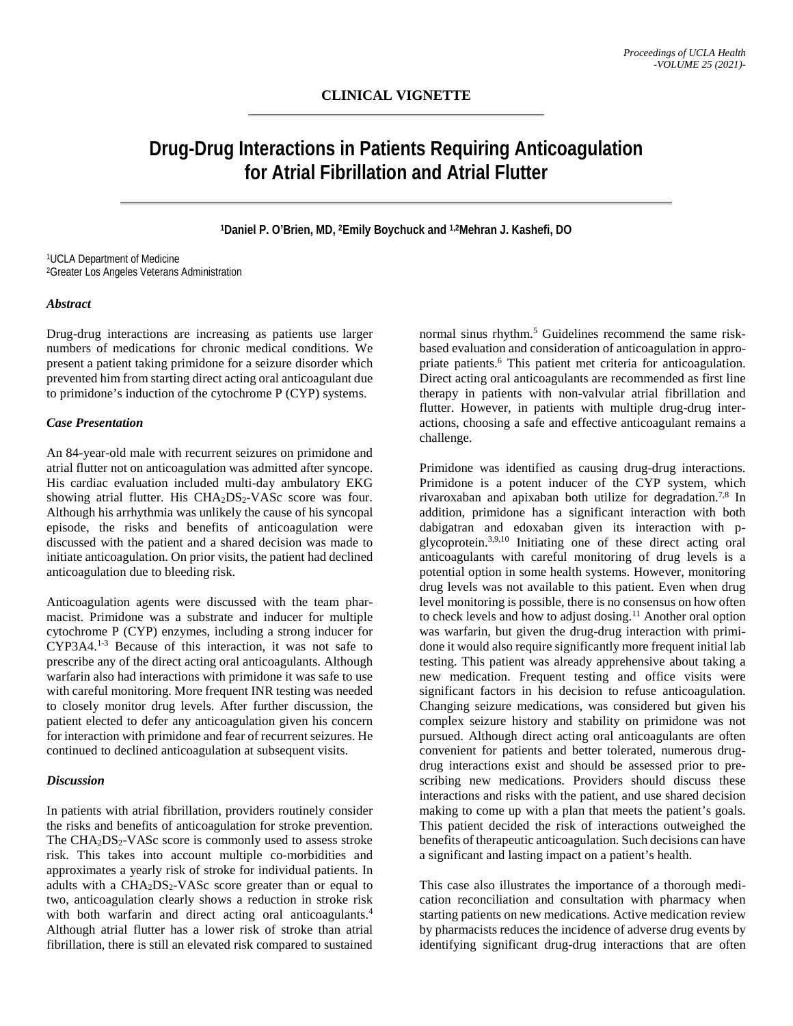# **Drug-Drug Interactions in Patients Requiring Anticoagulation for Atrial Fibrillation and Atrial Flutter**

## **1Daniel P. O'Brien, MD, 2Emily Boychuck and 1,2Mehran J. Kashefi, DO**

1UCLA Department of Medicine 2Greater Los Angeles Veterans Administration

#### *Abstract*

Drug-drug interactions are increasing as patients use larger numbers of medications for chronic medical conditions. We present a patient taking primidone for a seizure disorder which prevented him from starting direct acting oral anticoagulant due to primidone's induction of the cytochrome P (CYP) systems.

## *Case Presentation*

An 84-year-old male with recurrent seizures on primidone and atrial flutter not on anticoagulation was admitted after syncope. His cardiac evaluation included multi-day ambulatory EKG showing atrial flutter. His  $CHA<sub>2</sub>DS<sub>2</sub>-VASc$  score was four. Although his arrhythmia was unlikely the cause of his syncopal episode, the risks and benefits of anticoagulation were discussed with the patient and a shared decision was made to initiate anticoagulation. On prior visits, the patient had declined anticoagulation due to bleeding risk.

Anticoagulation agents were discussed with the team pharmacist. Primidone was a substrate and inducer for multiple cytochrome P (CYP) enzymes, including a strong inducer for CYP3A4. 1-3 Because of this interaction, it was not safe to prescribe any of the direct acting oral anticoagulants. Although warfarin also had interactions with primidone it was safe to use with careful monitoring. More frequent INR testing was needed to closely monitor drug levels. After further discussion, the patient elected to defer any anticoagulation given his concern for interaction with primidone and fear of recurrent seizures. He continued to declined anticoagulation at subsequent visits.

#### *Discussion*

In patients with atrial fibrillation, providers routinely consider the risks and benefits of anticoagulation for stroke prevention. The  $CHA<sub>2</sub>DS<sub>2</sub>-VASc$  score is commonly used to assess stroke risk. This takes into account multiple co-morbidities and approximates a yearly risk of stroke for individual patients. In adults with a  $CHA<sub>2</sub>DS<sub>2</sub>-VASc$  score greater than or equal to two, anticoagulation clearly shows a reduction in stroke risk with both warfarin and direct acting oral anticoagulants. 4 Although atrial flutter has a lower risk of stroke than atrial fibrillation, there is still an elevated risk compared to sustained

normal sinus rhythm. <sup>5</sup> Guidelines recommend the same riskbased evaluation and consideration of anticoagulation in appropriate patients. <sup>6</sup> This patient met criteria for anticoagulation. Direct acting oral anticoagulants are recommended as first line therapy in patients with non-valvular atrial fibrillation and flutter. However, in patients with multiple drug-drug interactions, choosing a safe and effective anticoagulant remains a challenge.

Primidone was identified as causing drug-drug interactions. Primidone is a potent inducer of the CYP system, which rivaroxaban and apixaban both utilize for degradation. 7,8 In addition, primidone has a significant interaction with both dabigatran and edoxaban given its interaction with pglycoprotein. 3,9,10 Initiating one of these direct acting oral anticoagulants with careful monitoring of drug levels is a potential option in some health systems. However, monitoring drug levels was not available to this patient. Even when drug level monitoring is possible, there is no consensus on how often to check levels and how to adjust dosing. <sup>11</sup> Another oral option was warfarin, but given the drug-drug interaction with primidone it would also require significantly more frequent initial lab testing. This patient was already apprehensive about taking a new medication. Frequent testing and office visits were significant factors in his decision to refuse anticoagulation. Changing seizure medications, was considered but given his complex seizure history and stability on primidone was not pursued. Although direct acting oral anticoagulants are often convenient for patients and better tolerated, numerous drugdrug interactions exist and should be assessed prior to prescribing new medications. Providers should discuss these interactions and risks with the patient, and use shared decision making to come up with a plan that meets the patient's goals. This patient decided the risk of interactions outweighed the benefits of therapeutic anticoagulation. Such decisions can have a significant and lasting impact on a patient's health.

This case also illustrates the importance of a thorough medication reconciliation and consultation with pharmacy when starting patients on new medications. Active medication review by pharmacists reduces the incidence of adverse drug events by identifying significant drug-drug interactions that are often